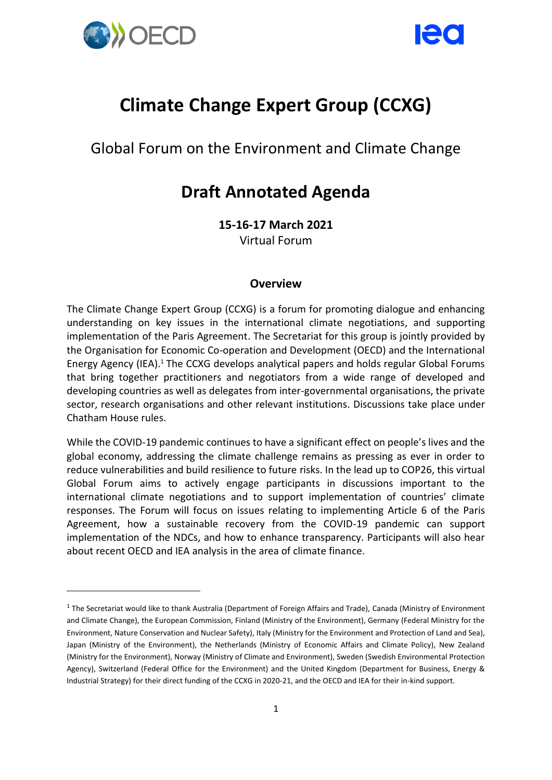

-



# **Climate Change Expert Group (CCXG)**

Global Forum on the Environment and Climate Change

## **Draft Annotated Agenda**

**15-16-17 March 2021** Virtual Forum

#### **Overview**

The Climate Change Expert Group (CCXG) is a forum for promoting dialogue and enhancing understanding on key issues in the international climate negotiations, and supporting implementation of the Paris Agreement. The Secretariat for this group is jointly provided by the Organisation for Economic Co-operation and Development (OECD) and the International Energy Agency (IEA).<sup>1</sup> The CCXG develops analytical papers and holds regular Global Forums that bring together practitioners and negotiators from a wide range of developed and developing countries as well as delegates from inter-governmental organisations, the private sector, research organisations and other relevant institutions. Discussions take place under Chatham House rules.

While the COVID-19 pandemic continues to have a significant effect on people's lives and the global economy, addressing the climate challenge remains as pressing as ever in order to reduce vulnerabilities and build resilience to future risks. In the lead up to COP26, this virtual Global Forum aims to actively engage participants in discussions important to the international climate negotiations and to support implementation of countries' climate responses. The Forum will focus on issues relating to implementing Article 6 of the Paris Agreement, how a sustainable recovery from the COVID-19 pandemic can support implementation of the NDCs, and how to enhance transparency. Participants will also hear about recent OECD and IEA analysis in the area of climate finance.

<sup>&</sup>lt;sup>1</sup> The Secretariat would like to thank Australia (Department of Foreign Affairs and Trade), Canada (Ministry of Environment and Climate Change), the European Commission, Finland (Ministry of the Environment), Germany (Federal Ministry for the Environment, Nature Conservation and Nuclear Safety), Italy (Ministry for the Environment and Protection of Land and Sea), Japan (Ministry of the Environment), the Netherlands (Ministry of Economic Affairs and Climate Policy), New Zealand (Ministry for the Environment), Norway (Ministry of Climate and Environment), Sweden (Swedish Environmental Protection Agency), Switzerland (Federal Office for the Environment) and the United Kingdom (Department for Business, Energy & Industrial Strategy) for their direct funding of the CCXG in 2020-21, and the OECD and IEA for their in-kind support.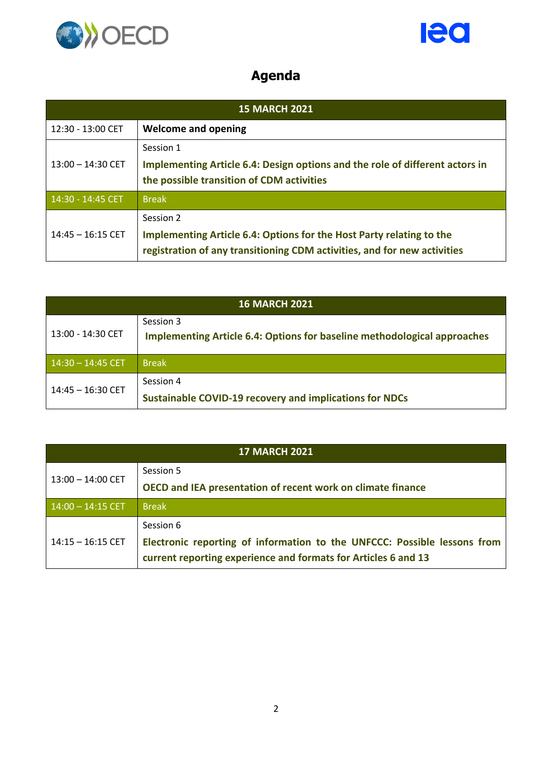



### **Agenda**

| <b>15 MARCH 2021</b> |                                                                                                                                                               |
|----------------------|---------------------------------------------------------------------------------------------------------------------------------------------------------------|
| 12:30 - 13:00 CET    | <b>Welcome and opening</b>                                                                                                                                    |
| $13:00 - 14:30$ CET  | Session 1<br>Implementing Article 6.4: Design options and the role of different actors in<br>the possible transition of CDM activities                        |
| $14:30 - 14:45$ CET  | <b>Break</b>                                                                                                                                                  |
| $14:45 - 16:15$ CET  | Session 2<br>Implementing Article 6.4: Options for the Host Party relating to the<br>registration of any transitioning CDM activities, and for new activities |

| <b>16 MARCH 2021</b> |                                                                                              |
|----------------------|----------------------------------------------------------------------------------------------|
| 13:00 - 14:30 CET    | Session 3<br><b>Implementing Article 6.4: Options for baseline methodological approaches</b> |
| $14:30 - 14:45$ CET  | <b>Break</b>                                                                                 |
| 14:45 - 16:30 CET    | Session 4<br><b>Sustainable COVID-19 recovery and implications for NDCs</b>                  |

| <b>17 MARCH 2021</b> |                                                                                                                                            |
|----------------------|--------------------------------------------------------------------------------------------------------------------------------------------|
| $13:00 - 14:00$ CET  | Session 5                                                                                                                                  |
|                      | OECD and IEA presentation of recent work on climate finance                                                                                |
| $14:00 - 14:15$ CET  | <b>Break</b>                                                                                                                               |
| $14:15 - 16:15$ CET  | Session 6                                                                                                                                  |
|                      | Electronic reporting of information to the UNFCCC: Possible lessons from<br>current reporting experience and formats for Articles 6 and 13 |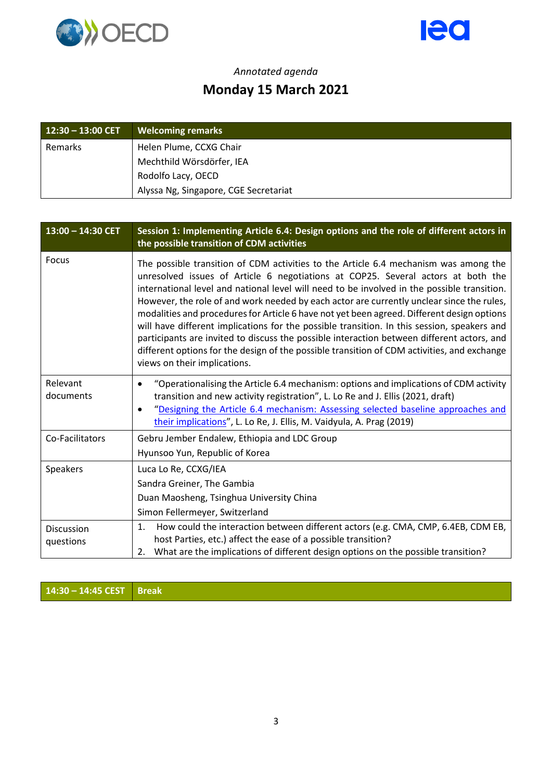



#### *Annotated agenda* **Monday 15 March 2021**

| $12:30 - 13:00$ CET | <b>Welcoming remarks</b>              |
|---------------------|---------------------------------------|
| Remarks             | Helen Plume, CCXG Chair               |
|                     | Mechthild Wörsdörfer, IEA             |
|                     | Rodolfo Lacy, OECD                    |
|                     | Alyssa Ng, Singapore, CGE Secretariat |

| $13:00 - 14:30$ CET     | Session 1: Implementing Article 6.4: Design options and the role of different actors in<br>the possible transition of CDM activities                                                                                                                                                                                                                                                                                                                                                                                                                                                                                                                                                                                                                                                           |
|-------------------------|------------------------------------------------------------------------------------------------------------------------------------------------------------------------------------------------------------------------------------------------------------------------------------------------------------------------------------------------------------------------------------------------------------------------------------------------------------------------------------------------------------------------------------------------------------------------------------------------------------------------------------------------------------------------------------------------------------------------------------------------------------------------------------------------|
| Focus                   | The possible transition of CDM activities to the Article 6.4 mechanism was among the<br>unresolved issues of Article 6 negotiations at COP25. Several actors at both the<br>international level and national level will need to be involved in the possible transition.<br>However, the role of and work needed by each actor are currently unclear since the rules,<br>modalities and procedures for Article 6 have not yet been agreed. Different design options<br>will have different implications for the possible transition. In this session, speakers and<br>participants are invited to discuss the possible interaction between different actors, and<br>different options for the design of the possible transition of CDM activities, and exchange<br>views on their implications. |
| Relevant<br>documents   | "Operationalising the Article 6.4 mechanism: options and implications of CDM activity<br>transition and new activity registration", L. Lo Re and J. Ellis (2021, draft)<br>"Designing the Article 6.4 mechanism: Assessing selected baseline approaches and<br>$\bullet$<br>their implications", L. Lo Re, J. Ellis, M. Vaidyula, A. Prag (2019)                                                                                                                                                                                                                                                                                                                                                                                                                                               |
| Co-Facilitators         | Gebru Jember Endalew, Ethiopia and LDC Group<br>Hyunsoo Yun, Republic of Korea                                                                                                                                                                                                                                                                                                                                                                                                                                                                                                                                                                                                                                                                                                                 |
| Speakers                | Luca Lo Re, CCXG/IEA<br>Sandra Greiner, The Gambia<br>Duan Maosheng, Tsinghua University China<br>Simon Fellermeyer, Switzerland                                                                                                                                                                                                                                                                                                                                                                                                                                                                                                                                                                                                                                                               |
| Discussion<br>questions | How could the interaction between different actors (e.g. CMA, CMP, 6.4EB, CDM EB,<br>1.<br>host Parties, etc.) affect the ease of a possible transition?<br>What are the implications of different design options on the possible transition?<br>2.                                                                                                                                                                                                                                                                                                                                                                                                                                                                                                                                            |

**14:30 – 14:45 CEST Break**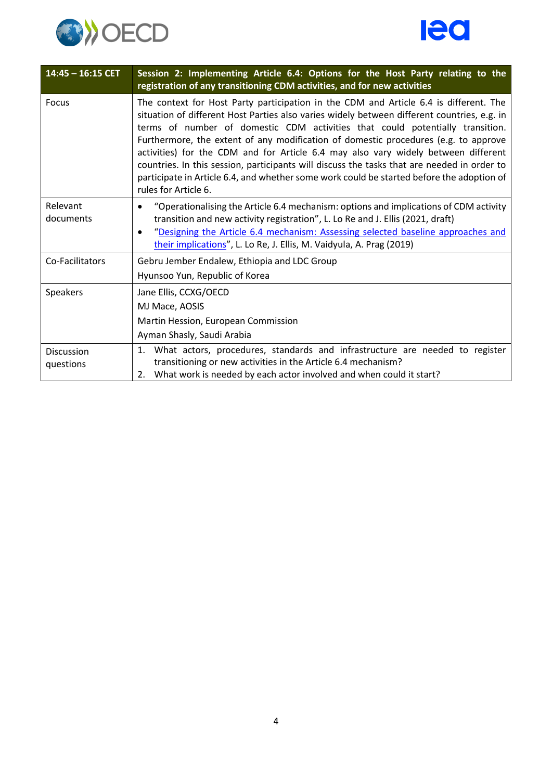



| $14:45 - 16:15$ CET     | Session 2: Implementing Article 6.4: Options for the Host Party relating to the<br>registration of any transitioning CDM activities, and for new activities                                                                                                                                                                                                                                                                                                                                                                                                                                                                                                            |
|-------------------------|------------------------------------------------------------------------------------------------------------------------------------------------------------------------------------------------------------------------------------------------------------------------------------------------------------------------------------------------------------------------------------------------------------------------------------------------------------------------------------------------------------------------------------------------------------------------------------------------------------------------------------------------------------------------|
| Focus                   | The context for Host Party participation in the CDM and Article 6.4 is different. The<br>situation of different Host Parties also varies widely between different countries, e.g. in<br>terms of number of domestic CDM activities that could potentially transition.<br>Furthermore, the extent of any modification of domestic procedures (e.g. to approve<br>activities) for the CDM and for Article 6.4 may also vary widely between different<br>countries. In this session, participants will discuss the tasks that are needed in order to<br>participate in Article 6.4, and whether some work could be started before the adoption of<br>rules for Article 6. |
| Relevant<br>documents   | "Operationalising the Article 6.4 mechanism: options and implications of CDM activity<br>transition and new activity registration", L. Lo Re and J. Ellis (2021, draft)<br>"Designing the Article 6.4 mechanism: Assessing selected baseline approaches and<br>$\bullet$<br>their implications", L. Lo Re, J. Ellis, M. Vaidyula, A. Prag (2019)                                                                                                                                                                                                                                                                                                                       |
| Co-Facilitators         | Gebru Jember Endalew, Ethiopia and LDC Group<br>Hyunsoo Yun, Republic of Korea                                                                                                                                                                                                                                                                                                                                                                                                                                                                                                                                                                                         |
| Speakers                | Jane Ellis, CCXG/OECD<br>MJ Mace, AOSIS<br>Martin Hession, European Commission<br>Ayman Shasly, Saudi Arabia                                                                                                                                                                                                                                                                                                                                                                                                                                                                                                                                                           |
| Discussion<br>questions | 1. What actors, procedures, standards and infrastructure are needed to register<br>transitioning or new activities in the Article 6.4 mechanism?<br>2. What work is needed by each actor involved and when could it start?                                                                                                                                                                                                                                                                                                                                                                                                                                             |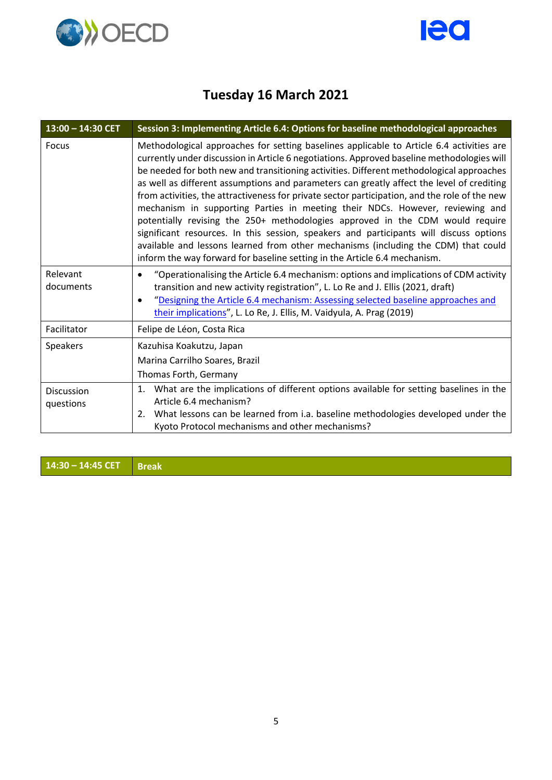



### **Tuesday 16 March 2021**

| $13:00 - 14:30$ CET     | Session 3: Implementing Article 6.4: Options for baseline methodological approaches                                                                                                                                                                                                                                                                                                                                                                                                                                                                                                                                                                                                                                                                                                                                                                                                                             |
|-------------------------|-----------------------------------------------------------------------------------------------------------------------------------------------------------------------------------------------------------------------------------------------------------------------------------------------------------------------------------------------------------------------------------------------------------------------------------------------------------------------------------------------------------------------------------------------------------------------------------------------------------------------------------------------------------------------------------------------------------------------------------------------------------------------------------------------------------------------------------------------------------------------------------------------------------------|
| Focus                   | Methodological approaches for setting baselines applicable to Article 6.4 activities are<br>currently under discussion in Article 6 negotiations. Approved baseline methodologies will<br>be needed for both new and transitioning activities. Different methodological approaches<br>as well as different assumptions and parameters can greatly affect the level of crediting<br>from activities, the attractiveness for private sector participation, and the role of the new<br>mechanism in supporting Parties in meeting their NDCs. However, reviewing and<br>potentially revising the 250+ methodologies approved in the CDM would require<br>significant resources. In this session, speakers and participants will discuss options<br>available and lessons learned from other mechanisms (including the CDM) that could<br>inform the way forward for baseline setting in the Article 6.4 mechanism. |
| Relevant<br>documents   | "Operationalising the Article 6.4 mechanism: options and implications of CDM activity<br>transition and new activity registration", L. Lo Re and J. Ellis (2021, draft)<br>"Designing the Article 6.4 mechanism: Assessing selected baseline approaches and<br>their implications", L. Lo Re, J. Ellis, M. Vaidyula, A. Prag (2019)                                                                                                                                                                                                                                                                                                                                                                                                                                                                                                                                                                             |
| Facilitator             | Felipe de Léon, Costa Rica                                                                                                                                                                                                                                                                                                                                                                                                                                                                                                                                                                                                                                                                                                                                                                                                                                                                                      |
| <b>Speakers</b>         | Kazuhisa Koakutzu, Japan<br>Marina Carrilho Soares, Brazil<br>Thomas Forth, Germany                                                                                                                                                                                                                                                                                                                                                                                                                                                                                                                                                                                                                                                                                                                                                                                                                             |
| Discussion<br>questions | 1. What are the implications of different options available for setting baselines in the<br>Article 6.4 mechanism?<br>What lessons can be learned from i.a. baseline methodologies developed under the<br>2.<br>Kyoto Protocol mechanisms and other mechanisms?                                                                                                                                                                                                                                                                                                                                                                                                                                                                                                                                                                                                                                                 |

**14:30 – 14:45 CET Break**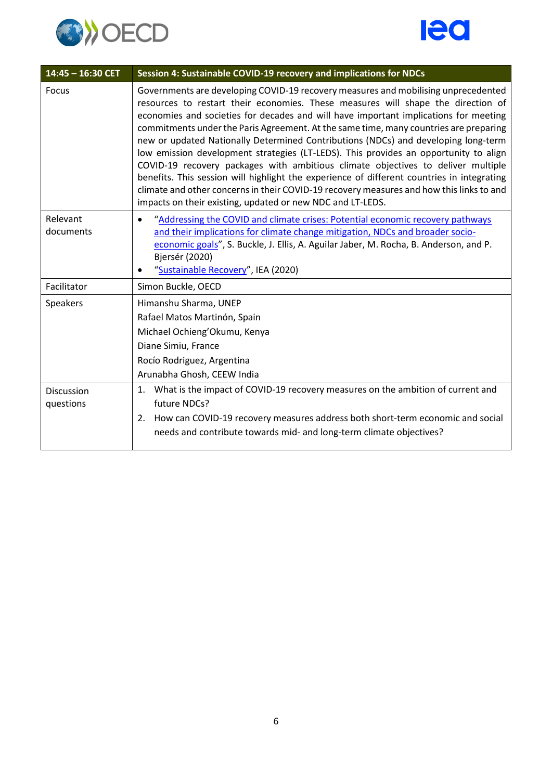



| $14:45 - 16:30$ CET     | Session 4: Sustainable COVID-19 recovery and implications for NDCs                                                                                                                                                                                                                                                                                                                                                                                                                                                                                                                                                                                                                                                                                                                                                                                                                |
|-------------------------|-----------------------------------------------------------------------------------------------------------------------------------------------------------------------------------------------------------------------------------------------------------------------------------------------------------------------------------------------------------------------------------------------------------------------------------------------------------------------------------------------------------------------------------------------------------------------------------------------------------------------------------------------------------------------------------------------------------------------------------------------------------------------------------------------------------------------------------------------------------------------------------|
| <b>Focus</b>            | Governments are developing COVID-19 recovery measures and mobilising unprecedented<br>resources to restart their economies. These measures will shape the direction of<br>economies and societies for decades and will have important implications for meeting<br>commitments under the Paris Agreement. At the same time, many countries are preparing<br>new or updated Nationally Determined Contributions (NDCs) and developing long-term<br>low emission development strategies (LT-LEDS). This provides an opportunity to align<br>COVID-19 recovery packages with ambitious climate objectives to deliver multiple<br>benefits. This session will highlight the experience of different countries in integrating<br>climate and other concerns in their COVID-19 recovery measures and how this links to and<br>impacts on their existing, updated or new NDC and LT-LEDS. |
| Relevant<br>documents   | "Addressing the COVID and climate crises: Potential economic recovery pathways<br>and their implications for climate change mitigation, NDCs and broader socio-<br>economic goals", S. Buckle, J. Ellis, A. Aguilar Jaber, M. Rocha, B. Anderson, and P.<br>Bjersér (2020)<br>"Sustainable Recovery", IEA (2020)                                                                                                                                                                                                                                                                                                                                                                                                                                                                                                                                                                  |
| Facilitator             | Simon Buckle, OECD                                                                                                                                                                                                                                                                                                                                                                                                                                                                                                                                                                                                                                                                                                                                                                                                                                                                |
| Speakers                | Himanshu Sharma, UNEP<br>Rafael Matos Martinón, Spain<br>Michael Ochieng'Okumu, Kenya<br>Diane Simiu, France<br>Rocío Rodriguez, Argentina<br>Arunabha Ghosh, CEEW India                                                                                                                                                                                                                                                                                                                                                                                                                                                                                                                                                                                                                                                                                                          |
| Discussion<br>questions | 1. What is the impact of COVID-19 recovery measures on the ambition of current and<br>future NDCs?<br>How can COVID-19 recovery measures address both short-term economic and social<br>2.<br>needs and contribute towards mid- and long-term climate objectives?                                                                                                                                                                                                                                                                                                                                                                                                                                                                                                                                                                                                                 |